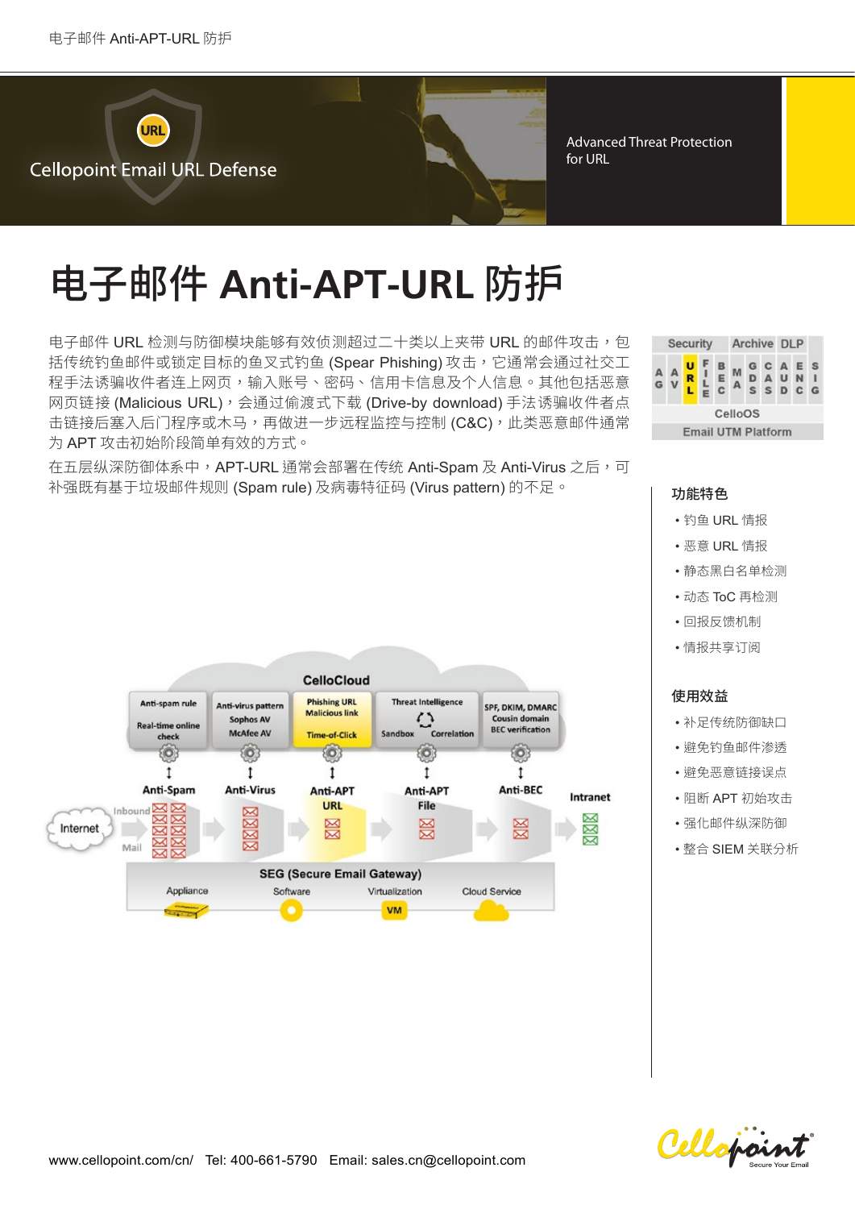

Advanced Threat Protection for URL

# 电子邮件 Anti-APT-URL 防护

电子邮件 URL 检测与防御模块能够有效侦测超过二十类以上夹带 URL 的邮件攻击,包 括传统钓鱼邮件或锁定目标的鱼叉式钓鱼(Spear Phishing) 攻击,它通常会通过社交工 程手法诱骗收件者连上网页,输入账号、密码、信用卡信息及个人信息。其他包括恶意 网页链接(Malicious URL),会通过偷渡式下载(Drive-by download) 手法诱骗收件者点 击链接后塞入后门程序或木马,再做进一步远程监控与控制(C&C),此类恶意邮件通常 为 APT 攻击初始阶段简单有效的方式。

在五层纵深防御体系中,APT-URL 通常会部署在传统 Anti-Spam 及 Anti-Virus 之后,可 补强既有基于垃圾邮件规则 (Spam rule) 及病毒特征码 (Virus pattern) 的不足。 | **功能特色** 



- 钓鱼 URL 情报
- 恶意 URL 情报
- •静态黑白名单检测
- 动态 ToC 再检测
- •回报反馈机制
- •情报共享订阅

# 使用效益

- 补足传统防御缺口
- 避免钓鱼邮件渗透
- 避免恶意链接误点
- 阴断 APT 初始攻击
- 强化邮件纵深防御
- 整合 SIEM 关联分析